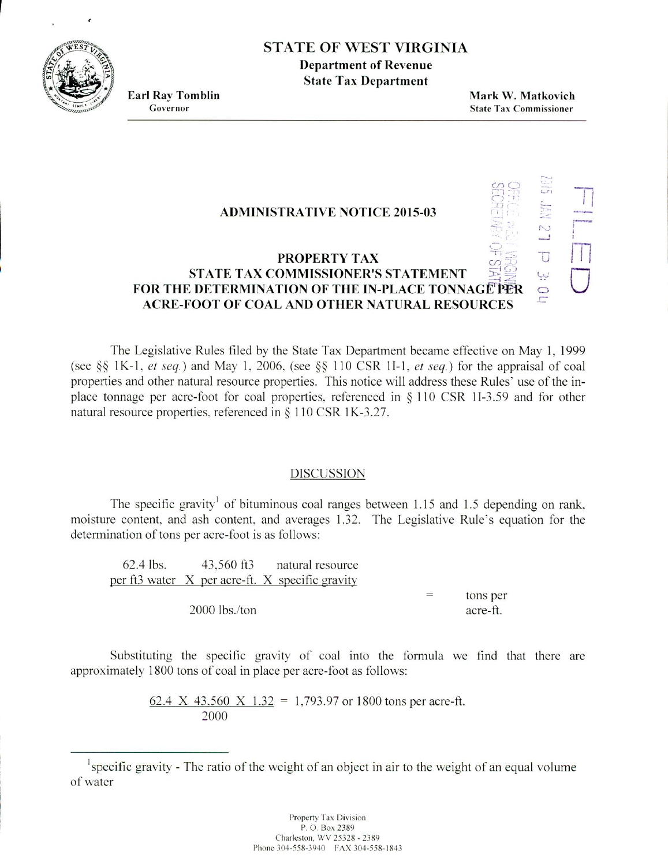# STATE OF WEST VIRGINIA

**Department of Revenue State Tax Department**

**Earl Ray Tomblin**<br> **Earl Ray Tomblin**<br> **Governor**<br> **State Tax Commissioner State Tax Commissioner** 

H

 $\sim$ 

ليبا Ó ii

U

### **ADMINISTRATIVE NOTICE 2015-03**

## **PROPERTY TAX STATE TAX COMMISSIONER'S STATEMENT FOR THE DETERMINATION OF THE IN-PLACE TONNAGE PER ACRE-FOOT OF COAL AND OTHER NATURAL RESOURCES**

The Legislative Rules filed by the State Tax Department became efièctive on May 1. 1999 (see  $\S$ § 1K-1, *et seq.*) and May 1, 2006, (see  $\S$ § 110 CSR 1I-1, *et seq.*) for the appraisal of coal properties and other natural resource properties. This notice will address these Rules' use of the inplace tonnage per acre-foot for coal properties, referenced in  $\S 110 \text{ CSR } 11-3.59$  and for other natural resource properties, referenced in § 110 CSR *1K-3.27.*

#### DISCUSSION

The specific gravity<sup>1</sup> of bituminous coal ranges between 1.15 and 1.5 depending on rank. moisture content, and ash content, and averages 132. The Legislative Rule's equation for the determination of tons per acre-foot is as follows:

62.4 tbs. 43.560 f13 natural resource per ft3 water  $X$  per acre-ft.  $X$  specific gravity tons per 2000 lbs/ton acre-ft.

Substituting the specific gravity of coal into the formula we find that there are approximately 1800 tons of coal in place per acre-foot as follows:

> 62.4 X 43.560 X 1.32 = 1,793.97 or 1800 tons per acre-ft. 2000

specific gravity - The ratio *of* the weight of an object in air to the weight of an equal volume of water